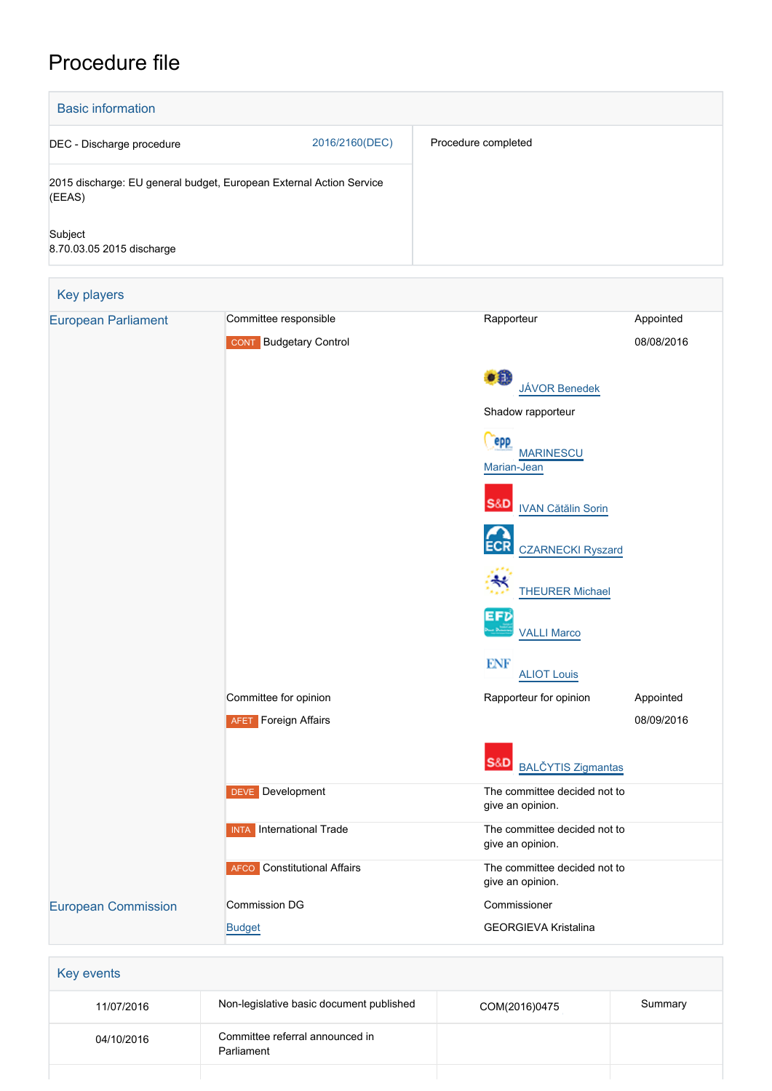# Procedure file

| <b>Basic information</b>                                                      |                |                     |
|-------------------------------------------------------------------------------|----------------|---------------------|
| DEC - Discharge procedure                                                     | 2016/2160(DEC) | Procedure completed |
| 2015 discharge: EU general budget, European External Action Service<br>(EEAS) |                |                     |
| Subject<br>8.70.03.05 2015 discharge                                          |                |                     |
|                                                                               |                |                     |

| Key players                | Committee responsible              | Rapporteur                                       | Appointed  |
|----------------------------|------------------------------------|--------------------------------------------------|------------|
| <b>European Parliament</b> |                                    |                                                  |            |
|                            | <b>CONT</b> Budgetary Control      |                                                  | 08/08/2016 |
|                            |                                    | $\bullet$                                        |            |
|                            |                                    | <b>JÁVOR Benedek</b>                             |            |
|                            |                                    | Shadow rapporteur                                |            |
|                            |                                    | <b>PPP</b><br><b>MARINESCU</b>                   |            |
|                            |                                    | Marian-Jean                                      |            |
|                            |                                    |                                                  |            |
|                            |                                    | S&D<br><b>IVAN Cătălin Sorin</b>                 |            |
|                            |                                    |                                                  |            |
|                            |                                    | <b>CZARNECKI Ryszard</b>                         |            |
|                            |                                    | ₩                                                |            |
|                            |                                    | <b>THEURER Michael</b>                           |            |
|                            |                                    | EFD<br><b>VALLI Marco</b>                        |            |
|                            |                                    |                                                  |            |
|                            |                                    | <b>ENF</b><br><b>ALIOT Louis</b>                 |            |
|                            | Committee for opinion              | Rapporteur for opinion                           | Appointed  |
|                            | <b>AFET</b> Foreign Affairs        |                                                  | 08/09/2016 |
|                            |                                    |                                                  |            |
|                            |                                    | S&D<br><b>BALČYTIS Zigmantas</b>                 |            |
|                            | <b>DEVE</b> Development            | The committee decided not to                     |            |
|                            |                                    | give an opinion.                                 |            |
|                            | <b>INTA</b> International Trade    | The committee decided not to                     |            |
|                            |                                    | give an opinion.                                 |            |
|                            | <b>AFCO</b> Constitutional Affairs | The committee decided not to<br>give an opinion. |            |
| <b>European Commission</b> | Commission DG                      | Commissioner                                     |            |
|                            | <b>Budget</b>                      | <b>GEORGIEVA Kristalina</b>                      |            |

| 11/07/2016 | Non-legislative basic document published      | COM(2016)0475 | Summary |
|------------|-----------------------------------------------|---------------|---------|
| 04/10/2016 | Committee referral announced in<br>Parliament |               |         |
|            |                                               |               |         |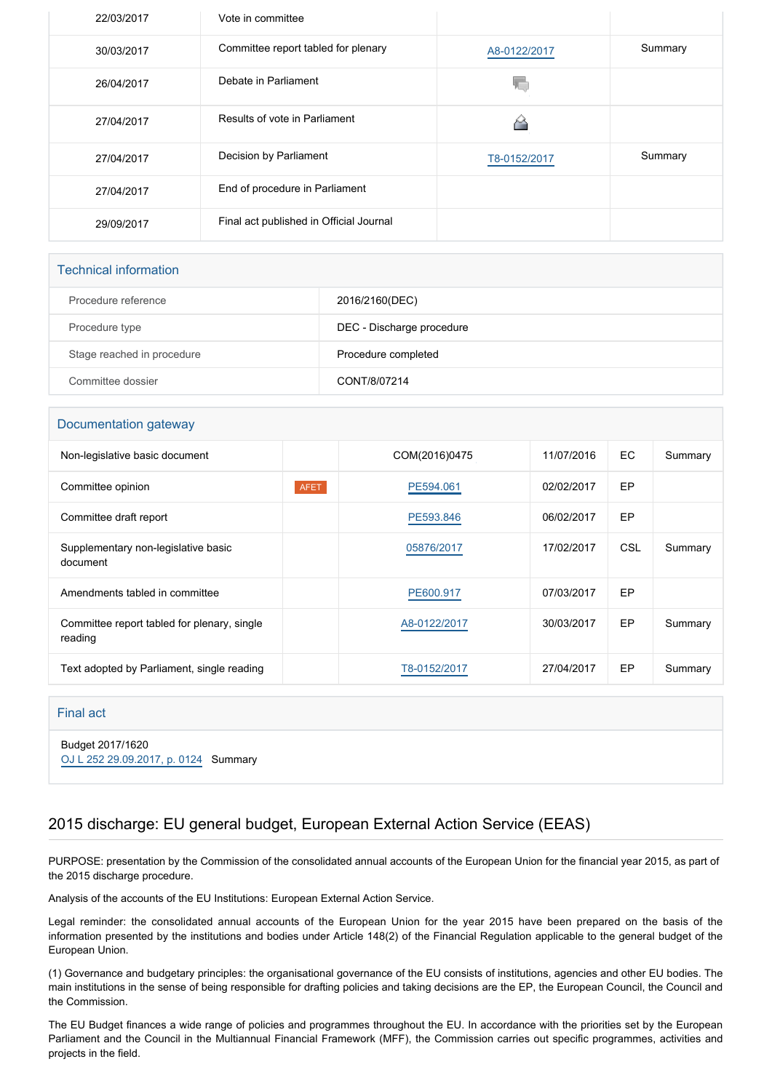| 22/03/2017 | Vote in committee                       |              |         |
|------------|-----------------------------------------|--------------|---------|
| 30/03/2017 | Committee report tabled for plenary     | A8-0122/2017 | Summary |
| 26/04/2017 | Debate in Parliament                    |              |         |
| 27/04/2017 | Results of vote in Parliament           |              |         |
| 27/04/2017 | Decision by Parliament                  | T8-0152/2017 | Summary |
| 27/04/2017 | End of procedure in Parliament          |              |         |
| 29/09/2017 | Final act published in Official Journal |              |         |

### Technical information

| Procedure reference        | 2016/2160(DEC)            |
|----------------------------|---------------------------|
| Procedure type             | DEC - Discharge procedure |
| Stage reached in procedure | Procedure completed       |
| Committee dossier          | CONT/8/07214              |

## Documentation gateway

| Non-legislative basic document                         |      | COM(2016)0475 | 11/07/2016 | EC. | Summary |
|--------------------------------------------------------|------|---------------|------------|-----|---------|
| Committee opinion                                      | AFET | PE594.061     | 02/02/2017 | EP  |         |
| Committee draft report                                 |      | PE593.846     | 06/02/2017 | EP  |         |
| Supplementary non-legislative basic<br>document        |      | 05876/2017    | 17/02/2017 | CSL | Summary |
| Amendments tabled in committee                         |      | PE600.917     | 07/03/2017 | EP  |         |
| Committee report tabled for plenary, single<br>reading |      | A8-0122/2017  | 30/03/2017 | EP  | Summary |
| Text adopted by Parliament, single reading             |      | T8-0152/2017  | 27/04/2017 | EP  | Summary |

#### Final act

Budget 2017/1620 [OJ L 252 29.09.2017, p. 0124](https://eur-lex.europa.eu/legal-content/EN/TXT/?uri=OJ:L:2017:252:TOC) Summary

## 2015 discharge: EU general budget, European External Action Service (EEAS)

PURPOSE: presentation by the Commission of the consolidated annual accounts of the European Union for the financial year 2015, as part of the 2015 discharge procedure.

Analysis of the accounts of the EU Institutions: European External Action Service.

Legal reminder: the consolidated annual accounts of the European Union for the year 2015 have been prepared on the basis of the information presented by the institutions and bodies under Article 148(2) of the Financial Regulation applicable to the general budget of the European Union.

(1) Governance and budgetary principles: the organisational governance of the EU consists of institutions, agencies and other EU bodies. The main institutions in the sense of being responsible for drafting policies and taking decisions are the EP, the European Council, the Council and the Commission.

The EU Budget finances a wide range of policies and programmes throughout the EU. In accordance with the priorities set by the European Parliament and the Council in the Multiannual Financial Framework (MFF), the Commission carries out specific programmes, activities and projects in the field.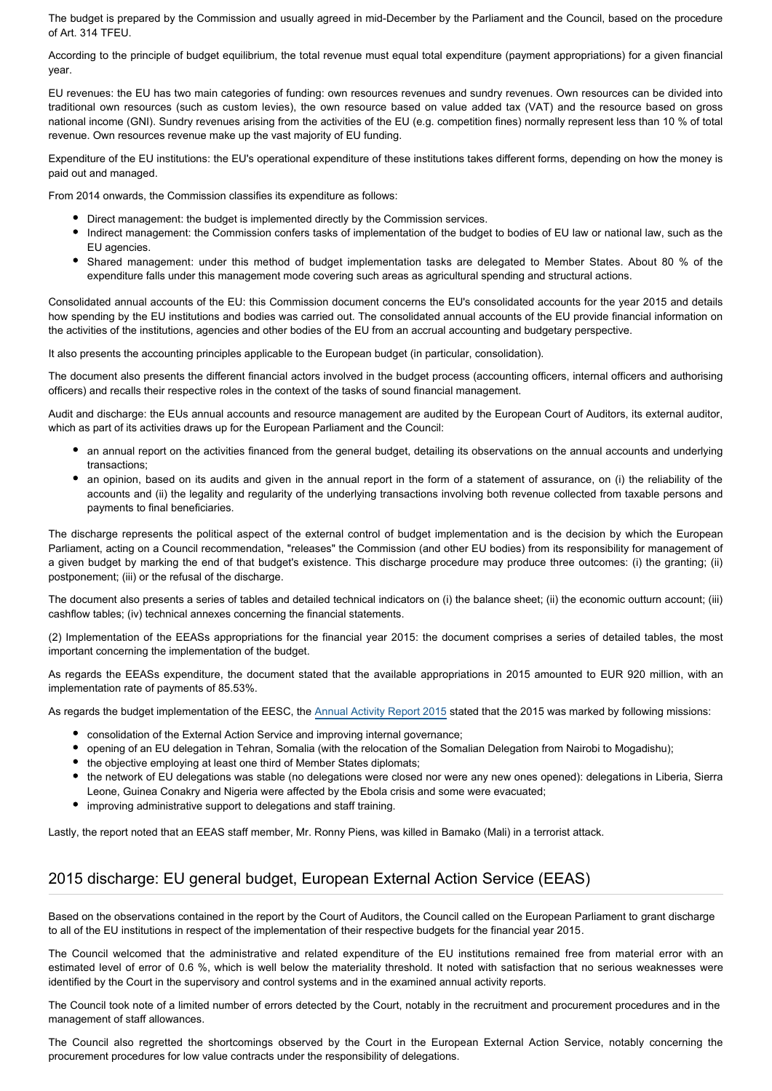The budget is prepared by the Commission and usually agreed in mid-December by the Parliament and the Council, based on the procedure of Art. 314 TFEU.

According to the principle of budget equilibrium, the total revenue must equal total expenditure (payment appropriations) for a given financial year.

EU revenues: the EU has two main categories of funding: own resources revenues and sundry revenues. Own resources can be divided into traditional own resources (such as custom levies), the own resource based on value added tax (VAT) and the resource based on gross national income (GNI). Sundry revenues arising from the activities of the EU (e.g. competition fines) normally represent less than 10 % of total revenue. Own resources revenue make up the vast majority of EU funding.

Expenditure of the EU institutions: the EU's operational expenditure of these institutions takes different forms, depending on how the money is paid out and managed.

From 2014 onwards, the Commission classifies its expenditure as follows:

- Direct management: the budget is implemented directly by the Commission services.
- Indirect management: the Commission confers tasks of implementation of the budget to bodies of EU law or national law, such as the EU agencies.
- Shared management: under this method of budget implementation tasks are delegated to Member States. About 80 % of the expenditure falls under this management mode covering such areas as agricultural spending and structural actions.

Consolidated annual accounts of the EU: this Commission document concerns the EU's consolidated accounts for the year 2015 and details how spending by the EU institutions and bodies was carried out. The consolidated annual accounts of the EU provide financial information on the activities of the institutions, agencies and other bodies of the EU from an accrual accounting and budgetary perspective.

It also presents the accounting principles applicable to the European budget (in particular, consolidation).

The document also presents the different financial actors involved in the budget process (accounting officers, internal officers and authorising officers) and recalls their respective roles in the context of the tasks of sound financial management.

Audit and discharge: the EUs annual accounts and resource management are audited by the European Court of Auditors, its external auditor, which as part of its activities draws up for the European Parliament and the Council:

- an annual report on the activities financed from the general budget, detailing its observations on the annual accounts and underlying transactions;
- an opinion, based on its audits and given in the annual report in the form of a statement of assurance, on (i) the reliability of the accounts and (ii) the legality and regularity of the underlying transactions involving both revenue collected from taxable persons and payments to final beneficiaries.

The discharge represents the political aspect of the external control of budget implementation and is the decision by which the European Parliament, acting on a Council recommendation, "releases" the Commission (and other EU bodies) from its responsibility for management of a given budget by marking the end of that budget's existence. This discharge procedure may produce three outcomes: (i) the granting; (ii) postponement; (iii) or the refusal of the discharge.

The document also presents a series of tables and detailed technical indicators on (i) the balance sheet; (ii) the economic outturn account; (iii) cashflow tables; (iv) technical annexes concerning the financial statements.

(2) Implementation of the EEASs appropriations for the financial year 2015: the document comprises a series of detailed tables, the most important concerning the implementation of the budget.

As regards the EEASs expenditure, the document stated that the available appropriations in 2015 amounted to EUR 920 million, with an implementation rate of payments of 85.53%.

As regards the budget implementation of the EESC, the [Annual Activity Report 2015](https://polcms.secure.europarl.europa.eu/cmsdata/upload/626f8ad8-2fb5-4af2-9643-4af8a05fe804/AAR2015-inclAnnexes.pdf) stated that the 2015 was marked by following missions:

- consolidation of the External Action Service and improving internal governance;
- opening of an EU delegation in Tehran, Somalia (with the relocation of the Somalian Delegation from Nairobi to Mogadishu);
- the objective employing at least one third of Member States diplomats;
- the network of EU delegations was stable (no delegations were closed nor were any new ones opened): delegations in Liberia, Sierra Leone, Guinea Conakry and Nigeria were affected by the Ebola crisis and some were evacuated;
- improving administrative support to delegations and staff training.

Lastly, the report noted that an EEAS staff member, Mr. Ronny Piens, was killed in Bamako (Mali) in a terrorist attack.

# 2015 discharge: EU general budget, European External Action Service (EEAS)

Based on the observations contained in the report by the Court of Auditors, the Council called on the European Parliament to grant discharge to all of the EU institutions in respect of the implementation of their respective budgets for the financial year 2015.

The Council welcomed that the administrative and related expenditure of the EU institutions remained free from material error with an estimated level of error of 0.6 %, which is well below the materiality threshold. It noted with satisfaction that no serious weaknesses were identified by the Court in the supervisory and control systems and in the examined annual activity reports.

The Council took note of a limited number of errors detected by the Court, notably in the recruitment and procurement procedures and in the management of staff allowances.

The Council also regretted the shortcomings observed by the Court in the European External Action Service, notably concerning the procurement procedures for low value contracts under the responsibility of delegations.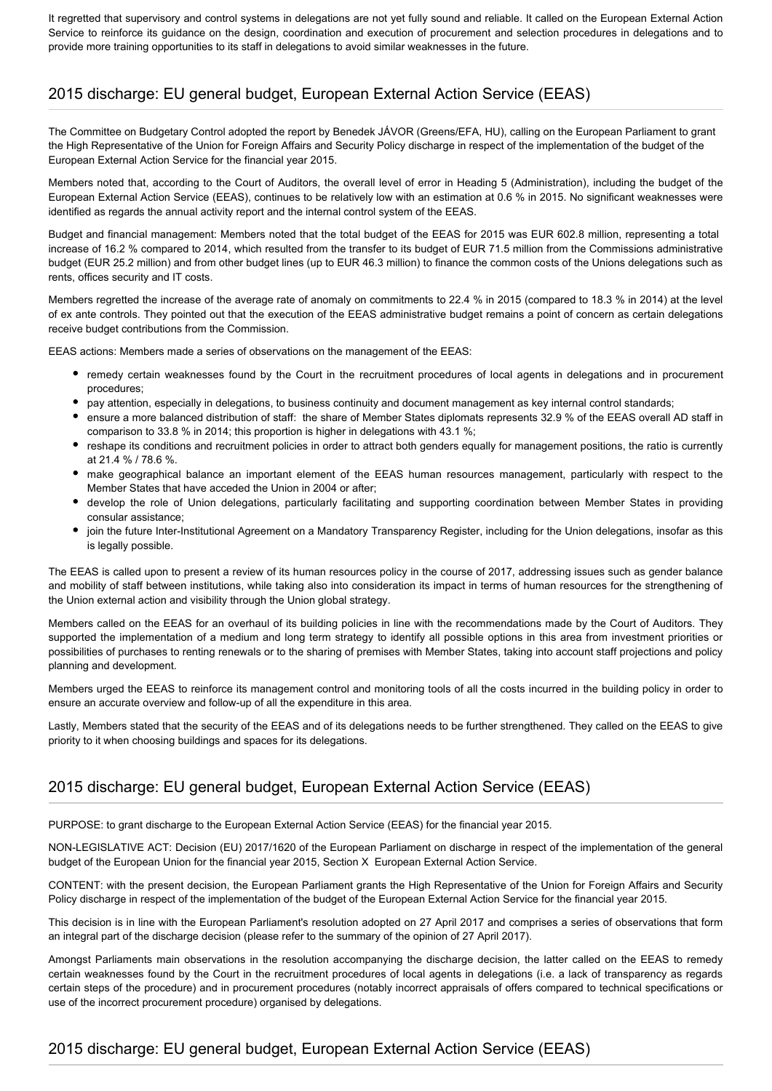It regretted that supervisory and control systems in delegations are not yet fully sound and reliable. It called on the European External Action Service to reinforce its guidance on the design, coordination and execution of procurement and selection procedures in delegations and to provide more training opportunities to its staff in delegations to avoid similar weaknesses in the future.

# 2015 discharge: EU general budget, European External Action Service (EEAS)

The Committee on Budgetary Control adopted the report by Benedek JÁVOR (Greens/EFA, HU), calling on the European Parliament to grant the High Representative of the Union for Foreign Affairs and Security Policy discharge in respect of the implementation of the budget of the European External Action Service for the financial year 2015.

Members noted that, according to the Court of Auditors, the overall level of error in Heading 5 (Administration), including the budget of the European External Action Service (EEAS), continues to be relatively low with an estimation at 0.6 % in 2015. No significant weaknesses were identified as regards the annual activity report and the internal control system of the EEAS.

Budget and financial management: Members noted that the total budget of the EEAS for 2015 was EUR 602.8 million, representing a total increase of 16.2 % compared to 2014, which resulted from the transfer to its budget of EUR 71.5 million from the Commissions administrative budget (EUR 25.2 million) and from other budget lines (up to EUR 46.3 million) to finance the common costs of the Unions delegations such as rents, offices security and IT costs.

Members regretted the increase of the average rate of anomaly on commitments to 22.4 % in 2015 (compared to 18.3 % in 2014) at the level of ex ante controls. They pointed out that the execution of the EEAS administrative budget remains a point of concern as certain delegations receive budget contributions from the Commission.

EEAS actions: Members made a series of observations on the management of the EEAS:

- remedy certain weaknesses found by the Court in the recruitment procedures of local agents in delegations and in procurement procedures;
- pay attention, especially in delegations, to business continuity and document management as key internal control standards;
- ensure a more balanced distribution of staff: the share of Member States diplomats represents 32.9 % of the EEAS overall AD staff in comparison to 33.8 % in 2014; this proportion is higher in delegations with 43.1 %;
- reshape its conditions and recruitment policies in order to attract both genders equally for management positions, the ratio is currently at 21.4 % / 78.6 %.
- make geographical balance an important element of the EEAS human resources management, particularly with respect to the Member States that have acceded the Union in 2004 or after;
- develop the role of Union delegations, particularly facilitating and supporting coordination between Member States in providing consular assistance;
- join the future Inter-Institutional Agreement on a Mandatory Transparency Register, including for the Union delegations, insofar as this is legally possible.

The EEAS is called upon to present a review of its human resources policy in the course of 2017, addressing issues such as gender balance and mobility of staff between institutions, while taking also into consideration its impact in terms of human resources for the strengthening of the Union external action and visibility through the Union global strategy.

Members called on the EEAS for an overhaul of its building policies in line with the recommendations made by the Court of Auditors. They supported the implementation of a medium and long term strategy to identify all possible options in this area from investment priorities or possibilities of purchases to renting renewals or to the sharing of premises with Member States, taking into account staff projections and policy planning and development.

Members urged the EEAS to reinforce its management control and monitoring tools of all the costs incurred in the building policy in order to ensure an accurate overview and follow-up of all the expenditure in this area.

Lastly, Members stated that the security of the EEAS and of its delegations needs to be further strengthened. They called on the EEAS to give priority to it when choosing buildings and spaces for its delegations.

# 2015 discharge: EU general budget, European External Action Service (EEAS)

PURPOSE: to grant discharge to the European External Action Service (EEAS) for the financial year 2015.

NON-LEGISLATIVE ACT: Decision (EU) 2017/1620 of the European Parliament on discharge in respect of the implementation of the general budget of the European Union for the financial year 2015, Section X European External Action Service.

CONTENT: with the present decision, the European Parliament grants the High Representative of the Union for Foreign Affairs and Security Policy discharge in respect of the implementation of the budget of the European External Action Service for the financial year 2015.

This decision is in line with the European Parliament's resolution adopted on 27 April 2017 and comprises a series of observations that form an integral part of the discharge decision (please refer to the summary of the opinion of 27 April 2017).

Amongst Parliaments main observations in the resolution accompanying the discharge decision, the latter called on the EEAS to remedy certain weaknesses found by the Court in the recruitment procedures of local agents in delegations (i.e. a lack of transparency as regards certain steps of the procedure) and in procurement procedures (notably incorrect appraisals of offers compared to technical specifications or use of the incorrect procurement procedure) organised by delegations.